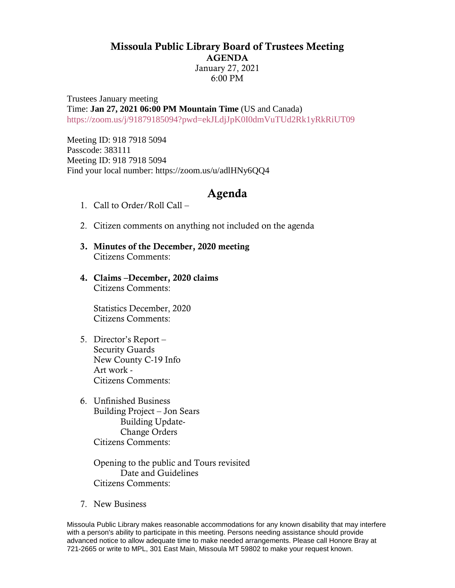## Missoula Public Library Board of Trustees Meeting AGENDA

January 27, 2021 6:00 PM

Trustees January meeting Time: **Jan 27, 2021 06:00 PM Mountain Time** (US and Canada) <https://zoom.us/j/91879185094?pwd=ekJLdjJpK0I0dmVuTUd2Rk1yRkRiUT09>

Meeting ID: 918 7918 5094 Passcode: 383111 Meeting ID: 918 7918 5094 Find your local number: https://zoom.us/u/adlHNy6QQ4

## Agenda

- 1. Call to Order/Roll Call –
- 2. Citizen comments on anything not included on the agenda
- 3. Minutes of the December, 2020 meeting Citizens Comments:
- 4. Claims –December, 2020 claims Citizens Comments:

Statistics December, 2020 Citizens Comments:

- 5. Director's Report Security Guards New County C-19 Info Art work - Citizens Comments:
- 6. Unfinished Business Building Project – Jon Sears Building Update-Change Orders Citizens Comments:

Opening to the public and Tours revisited Date and Guidelines Citizens Comments:

7. New Business

Missoula Public Library makes reasonable accommodations for any known disability that may interfere with a person's ability to participate in this meeting. Persons needing assistance should provide advanced notice to allow adequate time to make needed arrangements. Please call Honore Bray at 721-2665 or write to MPL, 301 East Main, Missoula MT 59802 to make your request known.